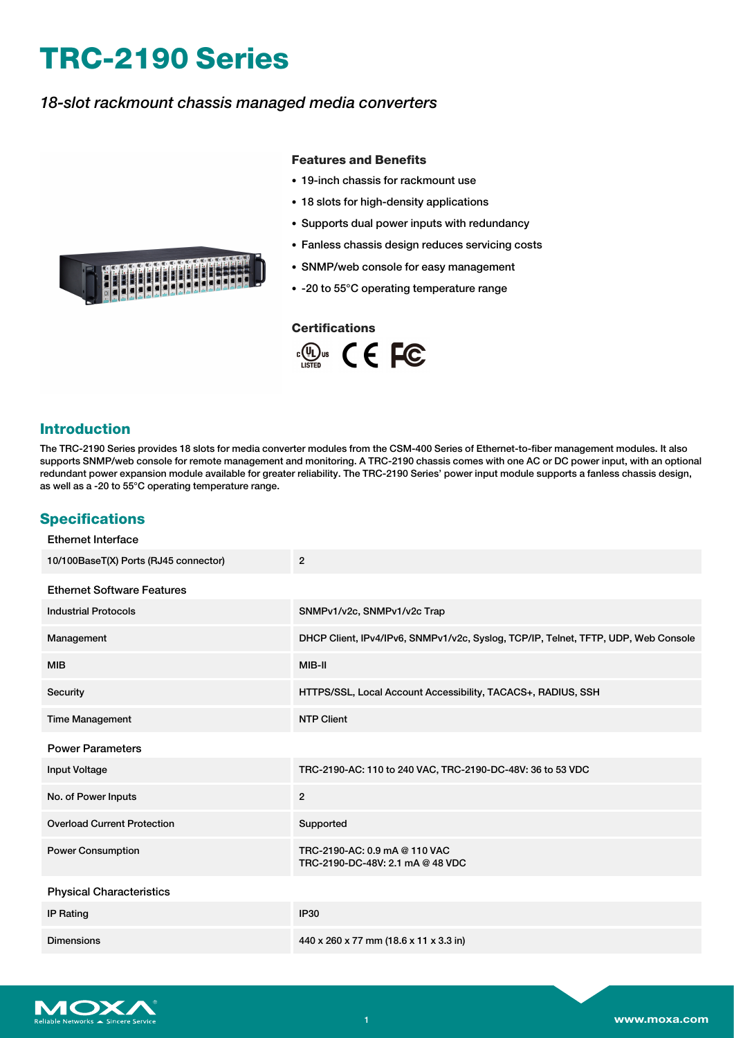# **TRC-2190 Series**

## *18-slot rackmount chassis managed media converters*

#### **Features and Benefits**

- 19-inch chassis for rackmount use
- 18 slots for high-density applications
- Supports dual power inputs with redundancy
- Fanless chassis design reduces servicing costs
- SNMP/web console for easy management
- -20 to 55°C operating temperature range

#### **Certifications**



## **Introduction**

The TRC-2190 Series provides 18 slots for media converter modules from the CSM-400 Series of Ethernet-to-fiber management modules. It also supports SNMP/web console for remote management and monitoring. A TRC-2190 chassis comes with one AC or DC power input, with an optional redundant power expansion module available for greater reliability. The TRC-2190 Series' power input module supports a fanless chassis design, as well as a -20 to 55°C operating temperature range.

## **Specifications**

| <b>Ethernet Interface</b>             |                                                                                    |
|---------------------------------------|------------------------------------------------------------------------------------|
| 10/100BaseT(X) Ports (RJ45 connector) | $\overline{2}$                                                                     |
| <b>Ethernet Software Features</b>     |                                                                                    |
| <b>Industrial Protocols</b>           | SNMPv1/v2c, SNMPv1/v2c Trap                                                        |
| Management                            | DHCP Client, IPv4/IPv6, SNMPv1/v2c, Syslog, TCP/IP, Telnet, TFTP, UDP, Web Console |
| <b>MIB</b>                            | MIB-II                                                                             |
| Security                              | HTTPS/SSL, Local Account Accessibility, TACACS+, RADIUS, SSH                       |
| <b>Time Management</b>                | <b>NTP Client</b>                                                                  |
| <b>Power Parameters</b>               |                                                                                    |
| <b>Input Voltage</b>                  | TRC-2190-AC: 110 to 240 VAC, TRC-2190-DC-48V: 36 to 53 VDC                         |
| No. of Power Inputs                   | $\overline{2}$                                                                     |
| <b>Overload Current Protection</b>    | Supported                                                                          |
| <b>Power Consumption</b>              | TRC-2190-AC: 0.9 mA @ 110 VAC<br>TRC-2190-DC-48V: 2.1 mA @ 48 VDC                  |
| <b>Physical Characteristics</b>       |                                                                                    |
| <b>IP Rating</b>                      | <b>IP30</b>                                                                        |
| <b>Dimensions</b>                     | 440 x 260 x 77 mm (18.6 x 11 x 3.3 in)                                             |



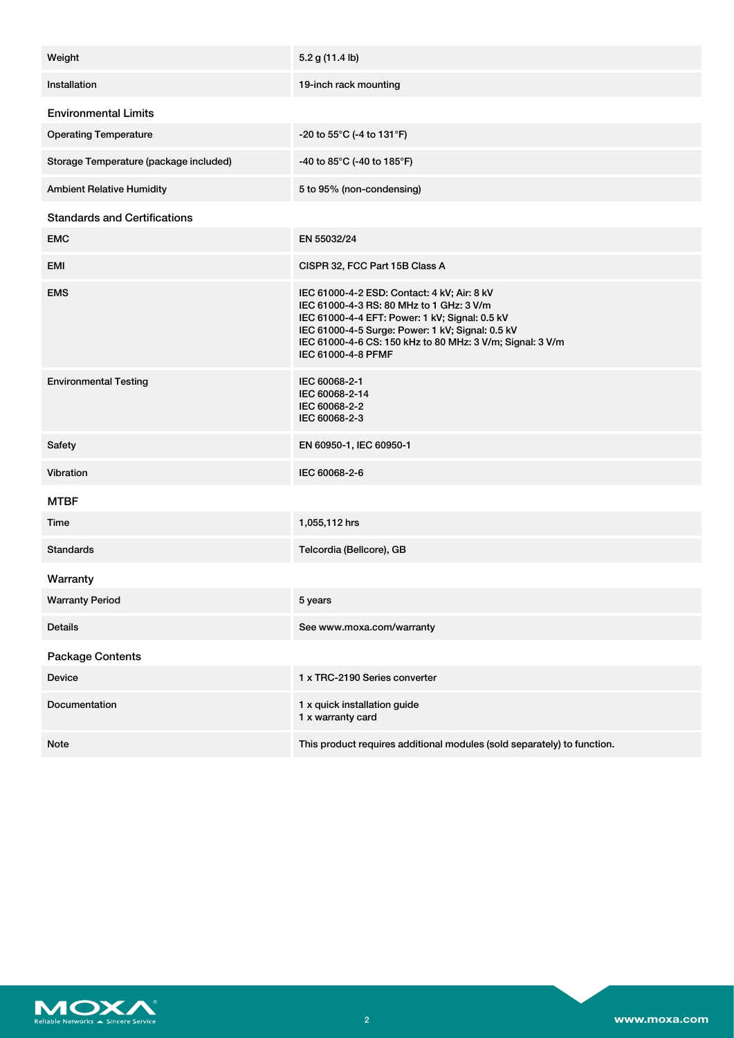| Weight                                 | 5.2 g (11.4 lb)                                                                                                                                                                                                                                                                  |  |
|----------------------------------------|----------------------------------------------------------------------------------------------------------------------------------------------------------------------------------------------------------------------------------------------------------------------------------|--|
| Installation                           | 19-inch rack mounting                                                                                                                                                                                                                                                            |  |
| <b>Environmental Limits</b>            |                                                                                                                                                                                                                                                                                  |  |
| <b>Operating Temperature</b>           | -20 to 55°C (-4 to 131°F)                                                                                                                                                                                                                                                        |  |
| Storage Temperature (package included) | -40 to 85°C (-40 to 185°F)                                                                                                                                                                                                                                                       |  |
| <b>Ambient Relative Humidity</b>       | 5 to 95% (non-condensing)                                                                                                                                                                                                                                                        |  |
| <b>Standards and Certifications</b>    |                                                                                                                                                                                                                                                                                  |  |
| <b>EMC</b>                             | EN 55032/24                                                                                                                                                                                                                                                                      |  |
| EMI                                    | CISPR 32, FCC Part 15B Class A                                                                                                                                                                                                                                                   |  |
| <b>EMS</b>                             | IEC 61000-4-2 ESD: Contact: 4 kV; Air: 8 kV<br>IEC 61000-4-3 RS: 80 MHz to 1 GHz: 3 V/m<br>IEC 61000-4-4 EFT: Power: 1 kV; Signal: 0.5 kV<br>IEC 61000-4-5 Surge: Power: 1 kV; Signal: 0.5 kV<br>IEC 61000-4-6 CS: 150 kHz to 80 MHz: 3 V/m; Signal: 3 V/m<br>IEC 61000-4-8 PFMF |  |
| <b>Environmental Testing</b>           | IEC 60068-2-1<br>IEC 60068-2-14<br>IEC 60068-2-2<br>IEC 60068-2-3                                                                                                                                                                                                                |  |
| Safety                                 | EN 60950-1, IEC 60950-1                                                                                                                                                                                                                                                          |  |
| Vibration                              | IEC 60068-2-6                                                                                                                                                                                                                                                                    |  |
| <b>MTBF</b>                            |                                                                                                                                                                                                                                                                                  |  |
| Time                                   | 1,055,112 hrs                                                                                                                                                                                                                                                                    |  |
| <b>Standards</b>                       | Telcordia (Bellcore), GB                                                                                                                                                                                                                                                         |  |
| Warranty                               |                                                                                                                                                                                                                                                                                  |  |
| <b>Warranty Period</b>                 | 5 years                                                                                                                                                                                                                                                                          |  |
| <b>Details</b>                         | See www.moxa.com/warranty                                                                                                                                                                                                                                                        |  |
| <b>Package Contents</b>                |                                                                                                                                                                                                                                                                                  |  |
| Device                                 | 1 x TRC-2190 Series converter                                                                                                                                                                                                                                                    |  |
| Documentation                          | 1 x quick installation guide<br>1 x warranty card                                                                                                                                                                                                                                |  |
| Note                                   | This product requires additional modules (sold separately) to function.                                                                                                                                                                                                          |  |
|                                        |                                                                                                                                                                                                                                                                                  |  |

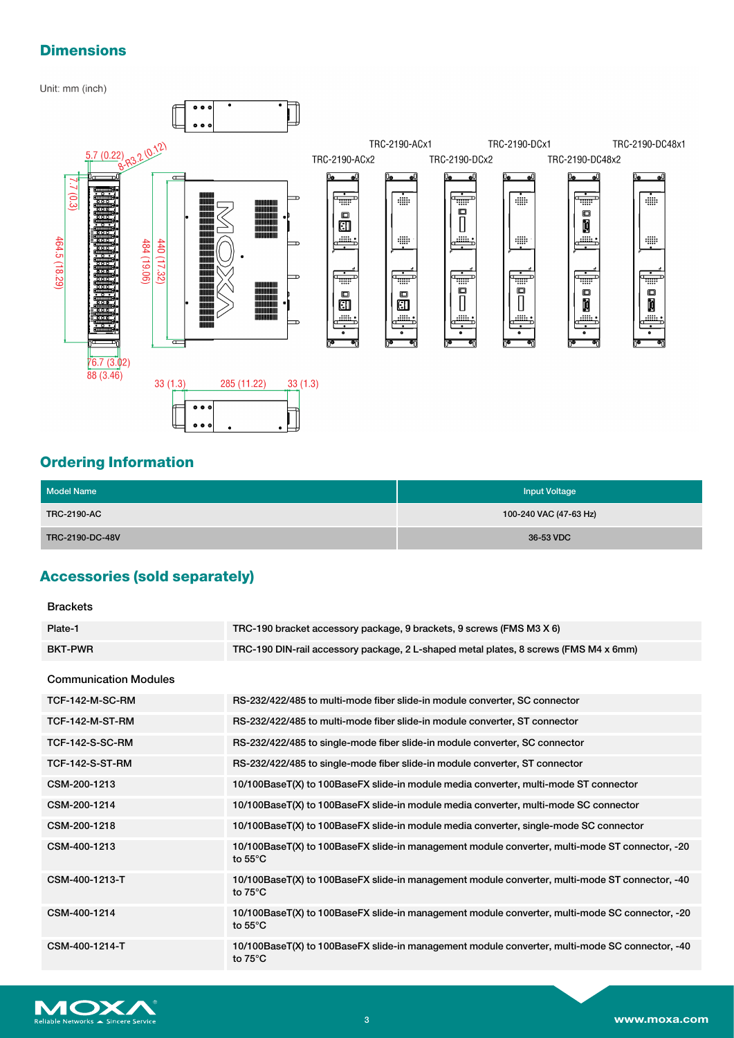# **Dimensions**

#### Unit: mm (inch)



## **Ordering Information**

| <b>Model Name</b>  | <b>Input Voltage</b>   |
|--------------------|------------------------|
| <b>TRC-2190-AC</b> | 100-240 VAC (47-63 Hz) |
| TRC-2190-DC-48V    | 36-53 VDC              |

# **Accessories (sold separately)**

### Brackets

| Plate-1                      | TRC-190 bracket accessory package, 9 brackets, 9 screws (FMS M3 X 6)                                                |
|------------------------------|---------------------------------------------------------------------------------------------------------------------|
| <b>BKT-PWR</b>               | TRC-190 DIN-rail accessory package, 2 L-shaped metal plates, 8 screws (FMS M4 x 6mm)                                |
| <b>Communication Modules</b> |                                                                                                                     |
|                              |                                                                                                                     |
| TCF-142-M-SC-RM              | RS-232/422/485 to multi-mode fiber slide-in module converter, SC connector                                          |
| TCF-142-M-ST-RM              | RS-232/422/485 to multi-mode fiber slide-in module converter, ST connector                                          |
| <b>TCF-142-S-SC-RM</b>       | RS-232/422/485 to single-mode fiber slide-in module converter, SC connector                                         |
| <b>TCF-142-S-ST-RM</b>       | RS-232/422/485 to single-mode fiber slide-in module converter, ST connector                                         |
| CSM-200-1213                 | 10/100BaseT(X) to 100BaseFX slide-in module media converter, multi-mode ST connector                                |
| CSM-200-1214                 | 10/100BaseT(X) to 100BaseFX slide-in module media converter, multi-mode SC connector                                |
| CSM-200-1218                 | 10/100BaseT(X) to 100BaseFX slide-in module media converter, single-mode SC connector                               |
| CSM-400-1213                 | 10/100BaseT(X) to 100BaseFX slide-in management module converter, multi-mode ST connector, -20<br>to $55^{\circ}$ C |
| CSM-400-1213-T               | 10/100BaseT(X) to 100BaseFX slide-in management module converter, multi-mode ST connector, -40<br>to $75^{\circ}$ C |
| CSM-400-1214                 | 10/100BaseT(X) to 100BaseFX slide-in management module converter, multi-mode SC connector, -20<br>to $55^{\circ}$ C |
| CSM-400-1214-T               | 10/100BaseT(X) to 100BaseFX slide-in management module converter, multi-mode SC connector, -40<br>to $75^{\circ}$ C |
|                              |                                                                                                                     |